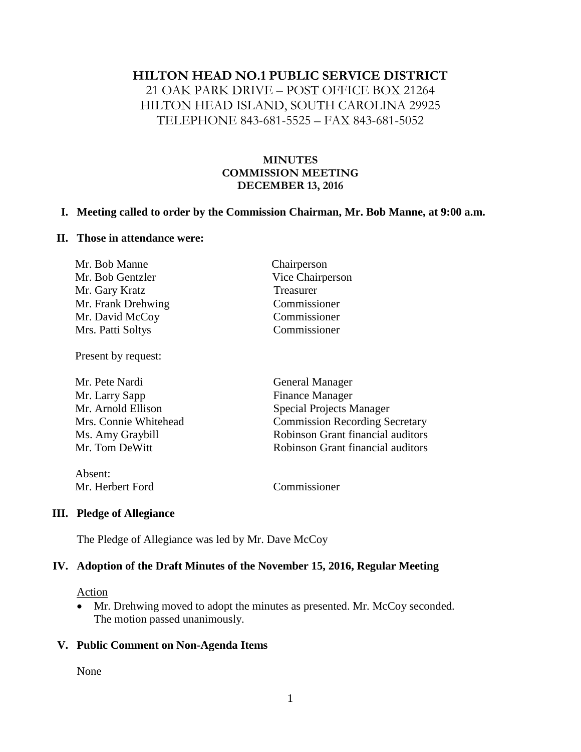#### **HILTON HEAD NO.1 PUBLIC SERVICE DISTRICT**

21 OAK PARK DRIVE – POST OFFICE BOX 21264 HILTON HEAD ISLAND, SOUTH CAROLINA 29925 TELEPHONE 843-681-5525 – FAX 843-681-5052

### **MINUTES COMMISSION MEETING DECEMBER 13, 2016**

#### **I. Meeting called to order by the Commission Chairman, Mr. Bob Manne, at 9:00 a.m.**

#### **II. Those in attendance were:**

| Mr. Bob Manne      | Chairperson      |
|--------------------|------------------|
| Mr. Bob Gentzler   | Vice Chairperson |
| Mr. Gary Kratz     | Treasurer        |
| Mr. Frank Drehwing | Commissioner     |
| Mr. David McCoy    | Commissioner     |
| Mrs. Patti Soltys  | Commissioner     |

Present by request:

| Mr. Pete Nardi        | <b>General Manager</b>                |  |
|-----------------------|---------------------------------------|--|
| Mr. Larry Sapp        | <b>Finance Manager</b>                |  |
| Mr. Arnold Ellison    | <b>Special Projects Manager</b>       |  |
| Mrs. Connie Whitehead | <b>Commission Recording Secretary</b> |  |
| Ms. Amy Graybill      | Robinson Grant financial auditors     |  |
| Mr. Tom DeWitt        | Robinson Grant financial auditors     |  |
| Absent:               |                                       |  |
| Mr. Herbert Ford      | Commissioner                          |  |

### **III. Pledge of Allegiance**

The Pledge of Allegiance was led by Mr. Dave McCoy

### **IV. Adoption of the Draft Minutes of the November 15, 2016, Regular Meeting**

Action

• Mr. Drehwing moved to adopt the minutes as presented. Mr. McCoy seconded. The motion passed unanimously.

#### **V. Public Comment on Non-Agenda Items**

None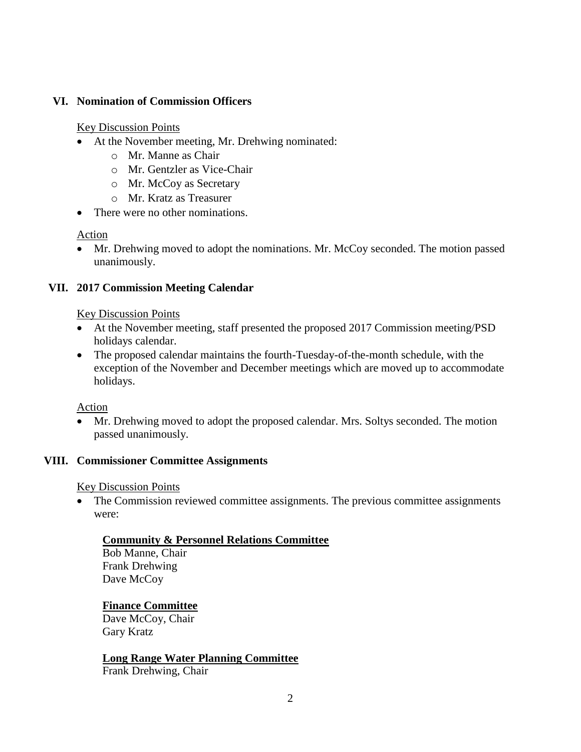## **VI. Nomination of Commission Officers**

#### Key Discussion Points

- At the November meeting, Mr. Drehwing nominated:
	- o Mr. Manne as Chair
	- o Mr. Gentzler as Vice-Chair
	- o Mr. McCoy as Secretary
	- o Mr. Kratz as Treasurer
- There were no other nominations.

Action

• Mr. Drehwing moved to adopt the nominations. Mr. McCoy seconded. The motion passed unanimously.

## **VII. 2017 Commission Meeting Calendar**

#### Key Discussion Points

- At the November meeting, staff presented the proposed 2017 Commission meeting/PSD holidays calendar.
- The proposed calendar maintains the fourth-Tuesday-of-the-month schedule, with the exception of the November and December meetings which are moved up to accommodate holidays.

Action

 Mr. Drehwing moved to adopt the proposed calendar. Mrs. Soltys seconded. The motion passed unanimously.

### **VIII. Commissioner Committee Assignments**

Key Discussion Points

• The Commission reviewed committee assignments. The previous committee assignments were:

### **Community & Personnel Relations Committee**

Bob Manne, Chair Frank Drehwing Dave McCoy

# **Finance Committee**

Dave McCoy, Chair Gary Kratz

# **Long Range Water Planning Committee**

Frank Drehwing, Chair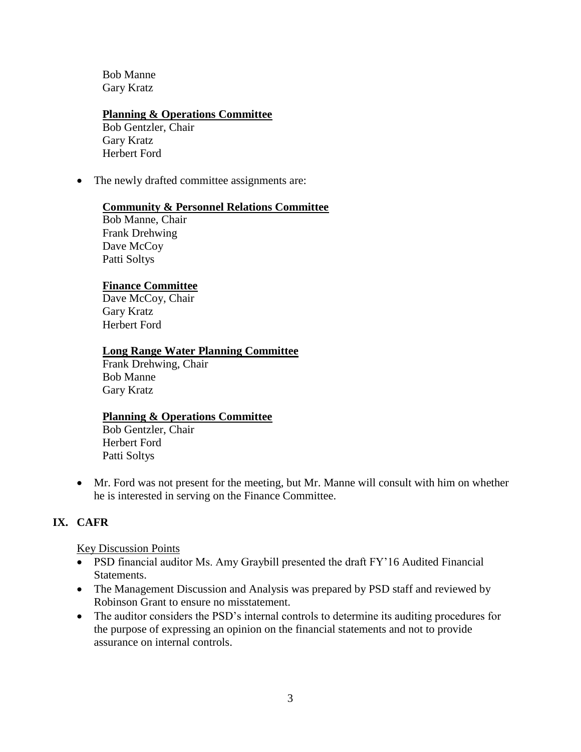Bob Manne Gary Kratz

### **Planning & Operations Committee**

Bob Gentzler, Chair Gary Kratz Herbert Ford

• The newly drafted committee assignments are:

## **Community & Personnel Relations Committee**

Bob Manne, Chair Frank Drehwing Dave McCoy Patti Soltys

## **Finance Committee**

Dave McCoy, Chair Gary Kratz Herbert Ford

## **Long Range Water Planning Committee**

Frank Drehwing, Chair Bob Manne Gary Kratz

### **Planning & Operations Committee**

Bob Gentzler, Chair Herbert Ford Patti Soltys

 Mr. Ford was not present for the meeting, but Mr. Manne will consult with him on whether he is interested in serving on the Finance Committee.

# **IX. CAFR**

### Key Discussion Points

- PSD financial auditor Ms. Amy Graybill presented the draft FY'16 Audited Financial Statements.
- The Management Discussion and Analysis was prepared by PSD staff and reviewed by Robinson Grant to ensure no misstatement.
- The auditor considers the PSD's internal controls to determine its auditing procedures for the purpose of expressing an opinion on the financial statements and not to provide assurance on internal controls.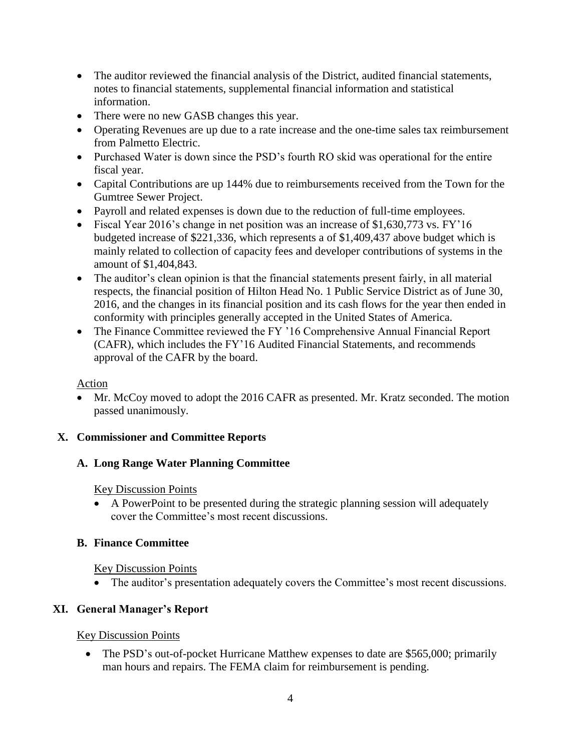- The auditor reviewed the financial analysis of the District, audited financial statements, notes to financial statements, supplemental financial information and statistical information.
- There were no new GASB changes this year.
- Operating Revenues are up due to a rate increase and the one-time sales tax reimbursement from Palmetto Electric.
- Purchased Water is down since the PSD's fourth RO skid was operational for the entire fiscal year.
- Capital Contributions are up 144% due to reimbursements received from the Town for the Gumtree Sewer Project.
- Payroll and related expenses is down due to the reduction of full-time employees.
- Fiscal Year 2016's change in net position was an increase of \$1,630,773 vs. FY'16 budgeted increase of \$221,336, which represents a of \$1,409,437 above budget which is mainly related to collection of capacity fees and developer contributions of systems in the amount of \$1,404,843.
- The auditor's clean opinion is that the financial statements present fairly, in all material respects, the financial position of Hilton Head No. 1 Public Service District as of June 30, 2016, and the changes in its financial position and its cash flows for the year then ended in conformity with principles generally accepted in the United States of America.
- The Finance Committee reviewed the FY '16 Comprehensive Annual Financial Report (CAFR), which includes the FY'16 Audited Financial Statements, and recommends approval of the CAFR by the board.

# Action

 Mr. McCoy moved to adopt the 2016 CAFR as presented. Mr. Kratz seconded. The motion passed unanimously.

# **X. Commissioner and Committee Reports**

# **A. Long Range Water Planning Committee**

# Key Discussion Points

 A PowerPoint to be presented during the strategic planning session will adequately cover the Committee's most recent discussions.

# **B. Finance Committee**

# Key Discussion Points

The auditor's presentation adequately covers the Committee's most recent discussions.

# **XI. General Manager's Report**

# Key Discussion Points

• The PSD's out-of-pocket Hurricane Matthew expenses to date are \$565,000; primarily man hours and repairs. The FEMA claim for reimbursement is pending.